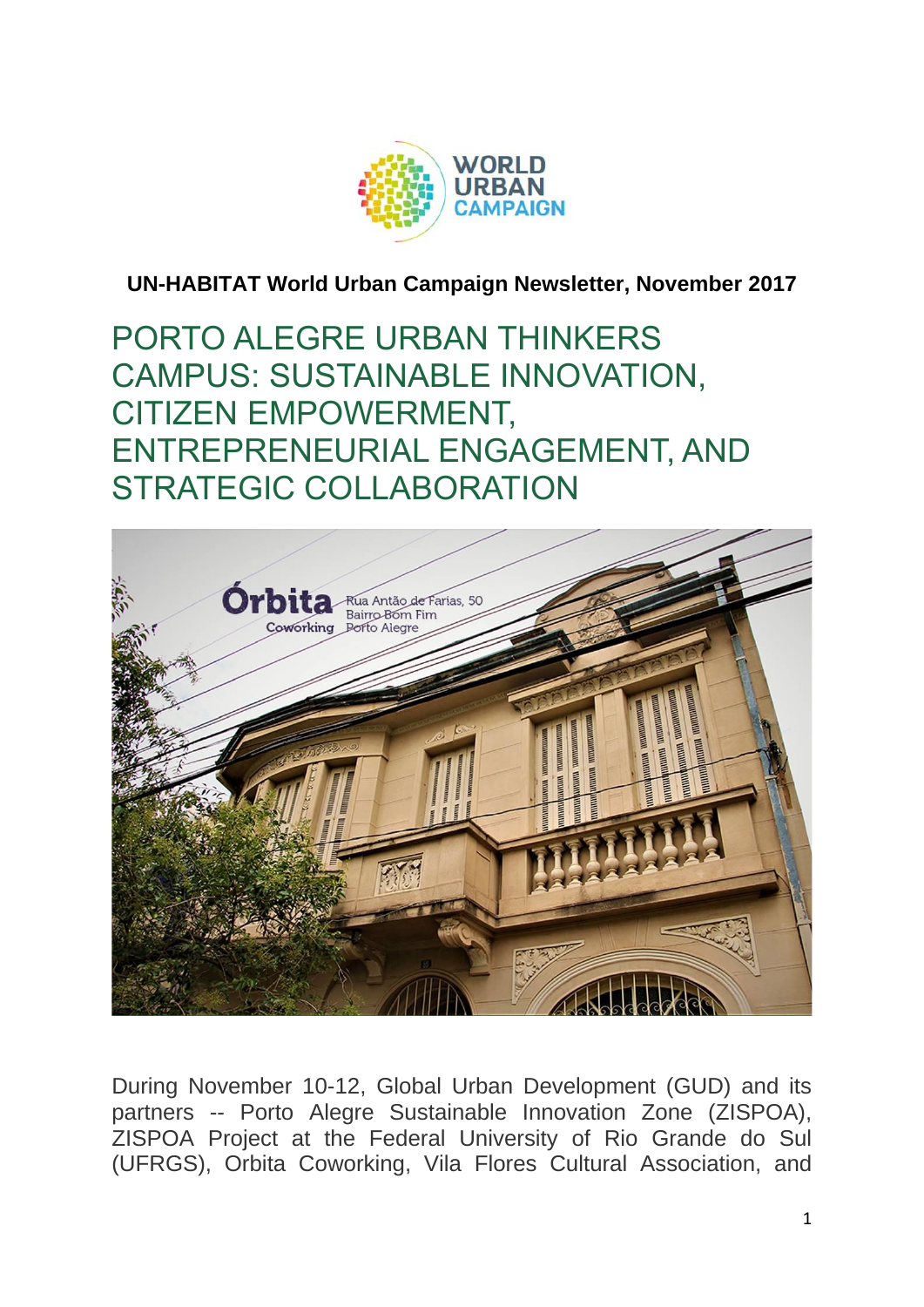

**UN-HABITAT World Urban Campaign Newsletter, November 2017**

PORTO ALEGRE URBAN THINKERS CAMPUS: SUSTAINABLE INNOVATION, CITIZEN EMPOWERMENT, ENTREPRENEURIAL ENGAGEMENT, AND STRATEGIC COLLABORATION



During November 10-12, Global Urban Development (GUD) and its partners -- Porto Alegre Sustainable Innovation Zone (ZISPOA), ZISPOA Project at the Federal University of Rio Grande do Sul (UFRGS), Orbita Coworking, Vila Flores Cultural Association, and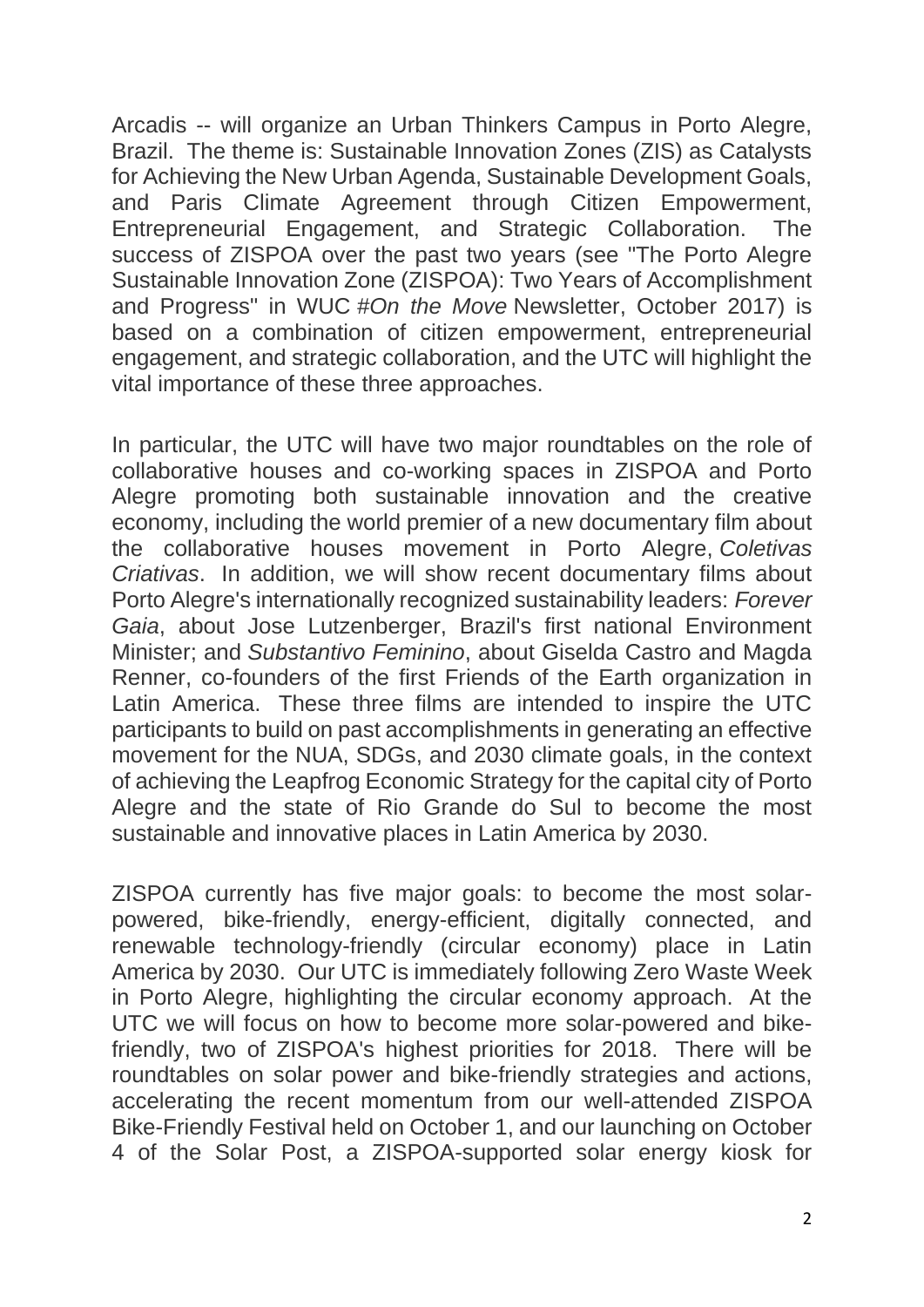Arcadis -- will organize an Urban Thinkers Campus in Porto Alegre, Brazil. The theme is: Sustainable Innovation Zones (ZIS) as Catalysts for Achieving the New Urban Agenda, Sustainable Development Goals, and Paris Climate Agreement through Citizen Empowerment, Entrepreneurial Engagement, and Strategic Collaboration. The success of ZISPOA over the past two years (see "The Porto Alegre Sustainable Innovation Zone (ZISPOA): Two Years of Accomplishment and Progress" in WUC *#On the Move* Newsletter, October 2017) is based on a combination of citizen empowerment, entrepreneurial engagement, and strategic collaboration, and the UTC will highlight the vital importance of these three approaches.

In particular, the UTC will have two major roundtables on the role of collaborative houses and co-working spaces in ZISPOA and Porto Alegre promoting both sustainable innovation and the creative economy, including the world premier of a new documentary film about the collaborative houses movement in Porto Alegre, *Coletivas Criativas*. In addition, we will show recent documentary films about Porto Alegre's internationally recognized sustainability leaders: *Forever Gaia*, about Jose Lutzenberger, Brazil's first national Environment Minister; and *Substantivo Feminino*, about Giselda Castro and Magda Renner, co-founders of the first Friends of the Earth organization in Latin America. These three films are intended to inspire the UTC participants to build on past accomplishments in generating an effective movement for the NUA, SDGs, and 2030 climate goals, in the context of achieving the Leapfrog Economic Strategy for the capital city of Porto Alegre and the state of Rio Grande do Sul to become the most sustainable and innovative places in Latin America by 2030.

ZISPOA currently has five major goals: to become the most solarpowered, bike-friendly, energy-efficient, digitally connected, and renewable technology-friendly (circular economy) place in Latin America by 2030. Our UTC is immediately following Zero Waste Week in Porto Alegre, highlighting the circular economy approach. At the UTC we will focus on how to become more solar-powered and bikefriendly, two of ZISPOA's highest priorities for 2018. There will be roundtables on solar power and bike-friendly strategies and actions, accelerating the recent momentum from our well-attended ZISPOA Bike-Friendly Festival held on October 1, and our launching on October 4 of the Solar Post, a ZISPOA-supported solar energy kiosk for